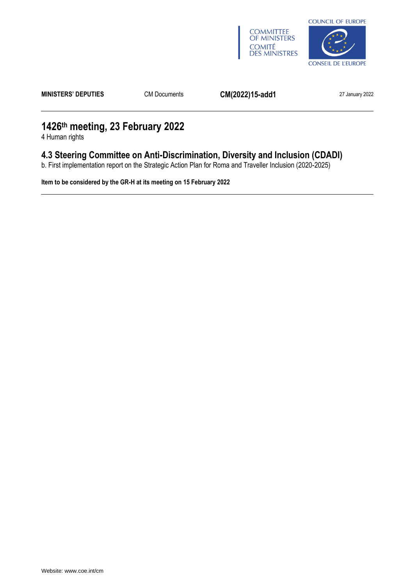



**MINISTERS' DEPUTIES** CM Documents **CM(2022)15-add1** 27 January 2022

# **1426th meeting, 23 February 2022**

4 Human rights

## **4.3 Steering Committee on Anti-Discrimination, Diversity and Inclusion (CDADI)**

b. First implementation report on the Strategic Action Plan for Roma and Traveller Inclusion (2020-2025)

**Item to be considered by the GR-H at its meeting on 15 February 2022**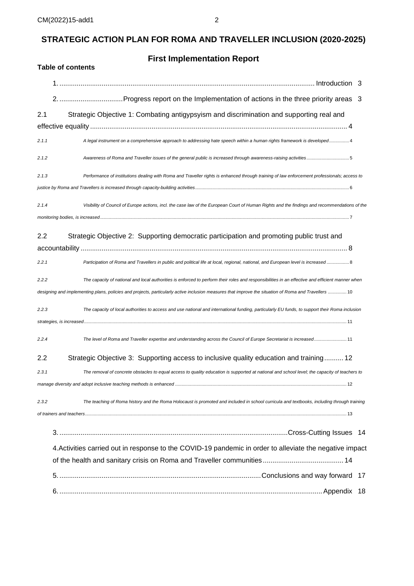## **STRATEGIC ACTION PLAN FOR ROMA AND TRAVELLER INCLUSION (2020-2025)**

<span id="page-1-0"></span>

| <b>First Implementation Report</b> |                                                                                                                                                       |     |  |
|------------------------------------|-------------------------------------------------------------------------------------------------------------------------------------------------------|-----|--|
|                                    | <b>Table of contents</b>                                                                                                                              |     |  |
|                                    |                                                                                                                                                       |     |  |
|                                    |                                                                                                                                                       |     |  |
| 2.1                                | Strategic Objective 1: Combating antigypsyism and discrimination and supporting real and                                                              |     |  |
|                                    |                                                                                                                                                       |     |  |
| 2.1.1                              | A legal instrument on a comprehensive approach to addressing hate speech within a human rights framework is developed 4                               |     |  |
| 2.1.2                              | Awareness of Roma and Traveller issues of the general public is increased through awareness-raising activities5                                       |     |  |
| 2.1.3                              | Performance of institutions dealing with Roma and Traveller rights is enhanced through training of law enforcement professionals; access to           |     |  |
|                                    |                                                                                                                                                       |     |  |
| 2.1.4                              | Visibility of Council of Europe actions, incl. the case law of the European Court of Human Rights and the findings and recommendations of the         |     |  |
|                                    |                                                                                                                                                       |     |  |
| 2.2                                | Strategic Objective 2: Supporting democratic participation and promoting public trust and                                                             |     |  |
|                                    |                                                                                                                                                       |     |  |
| 2.2.1                              | Participation of Roma and Travellers in public and political life at local, regional, national, and European level is increased 8                     |     |  |
| 2.2.2                              | The capacity of national and local authorities is enforced to perform their roles and responsibilities in an effective and efficient manner when      |     |  |
|                                    | designing and implementing plans, policies and projects, particularly active inclusion measures that improve the situation of Roma and Travellers  10 |     |  |
| 2.2.3                              | The capacity of local authorities to access and use national and international funding, particularly EU funds, to support their Roma inclusion        |     |  |
|                                    |                                                                                                                                                       |     |  |
| 2.2.4                              | The level of Roma and Traveller expertise and understanding across the Council of Europe Secretariat is increased11                                   |     |  |
| 2.2                                | Strategic Objective 3: Supporting access to inclusive quality education and training 12                                                               |     |  |
| 2.3.1                              | The removal of concrete obstacles to equal access to quality education is supported at national and school level; the capacity of teachers to         |     |  |
|                                    |                                                                                                                                                       |     |  |
| 2.3.2                              | The teaching of Roma history and the Roma Holocaust is promoted and included in school curricula and textbooks, including through training            |     |  |
|                                    |                                                                                                                                                       |     |  |
|                                    |                                                                                                                                                       |     |  |
|                                    | 4. Activities carried out in response to the COVID-19 pandemic in order to alleviate the negative impact                                              |     |  |
|                                    |                                                                                                                                                       |     |  |
|                                    |                                                                                                                                                       | -17 |  |
|                                    |                                                                                                                                                       |     |  |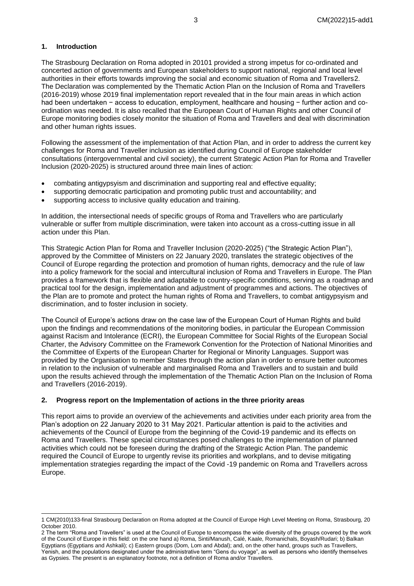#### **1. Introduction**

The Strasbourg Declaration on Roma adopted in 20101 provided a strong impetus for co-ordinated and concerted action of governments and European stakeholders to support national, regional and local level authorities in their efforts towards improving the social and economic situation of Roma and Travellers2. The Declaration was complemented by the Thematic Action Plan on the Inclusion of Roma and Travellers (2016-2019) whose 2019 final implementation report revealed that in the four main areas in which action had been undertaken − access to education, employment, healthcare and housing − further action and coordination was needed. It is also recalled that the European Court of Human Rights and other Council of Europe monitoring bodies closely monitor the situation of Roma and Travellers and deal with discrimination and other human rights issues.

Following the assessment of the implementation of that Action Plan, and in order to address the current key challenges for Roma and Traveller inclusion as identified during Council of Europe stakeholder consultations (intergovernmental and civil society), the current Strategic Action Plan for Roma and Traveller Inclusion (2020-2025) is structured around three main lines of action:

- combating antigypsyism and discrimination and supporting real and effective equality;
- supporting democratic participation and promoting public trust and accountability; and
- supporting access to inclusive quality education and training.

In addition, the intersectional needs of specific groups of Roma and Travellers who are particularly vulnerable or suffer from multiple discrimination, were taken into account as a cross-cutting issue in all action under this Plan.

This Strategic Action Plan for Roma and Traveller Inclusion (2020-2025) ("the Strategic Action Plan"), approved by the Committee of Ministers on 22 January 2020, translates the strategic objectives of the Council of Europe regarding the protection and promotion of human rights, democracy and the rule of law into a policy framework for the social and intercultural inclusion of Roma and Travellers in Europe. The Plan provides a framework that is flexible and adaptable to country-specific conditions, serving as a roadmap and practical tool for the design, implementation and adjustment of programmes and actions. The objectives of the Plan are to promote and protect the human rights of Roma and Travellers, to combat antigypsyism and discrimination, and to foster inclusion in society.

The Council of Europe's actions draw on the case law of the European Court of Human Rights and build upon the findings and recommendations of the monitoring bodies, in particular the European Commission against Racism and Intolerance (ECRI), the European Committee for Social Rights of the European Social Charter, the Advisory Committee on the Framework Convention for the Protection of National Minorities and the Committee of Experts of the European Charter for Regional or Minority Languages. Support was provided by the Organisation to member States through the action plan in order to ensure better outcomes in relation to the inclusion of vulnerable and marginalised Roma and Travellers and to sustain and build upon the results achieved through the implementation of the Thematic Action Plan on the Inclusion of Roma and Travellers (2016-2019).

#### <span id="page-2-0"></span>**2. Progress report on the Implementation of actions in the three priority areas**

This report aims to provide an overview of the achievements and activities under each priority area from the Plan's adoption on 22 January 2020 to 31 May 2021. Particular attention is paid to the activities and achievements of the Council of Europe from the beginning of the Covid-19 pandemic and its effects on Roma and Travellers. These special circumstances posed challenges to the implementation of planned activities which could not be foreseen during the drafting of the Strategic Action Plan. The pandemic required the Council of Europe to urgently revise its priorities and workplans, and to devise mitigating implementation strategies regarding the impact of the Covid -19 pandemic on Roma and Travellers across Europe.

<sup>1</sup> [CM\(2010\)133-final](https://search.coe.int/cm/Pages/result_details.aspx?Reference=CM(2010)133-final) Strasbourg Declaration on Roma adopted at the Council of Europe High Level Meeting on Roma, Strasbourg, 20 October 2010.

<sup>2</sup> The term "Roma and Travellers" is used at the Council of Europe to encompass the wide diversity of the groups covered by the work of the Council of Europe in this field: on the one hand a) Roma, Sinti/Manush, Calé, Kaale, Romanichals, Boyash/Rudari; b) Balkan Egyptians (Egyptians and Ashkali); c) Eastern groups (Dom, Lom and Abdal); and, on the other hand, groups such as Travellers, Yenish, and the populations designated under the administrative term "Gens du voyage", as well as persons who identify themselves as Gypsies. The present is an explanatory footnote, not a definition of Roma and/or Travellers.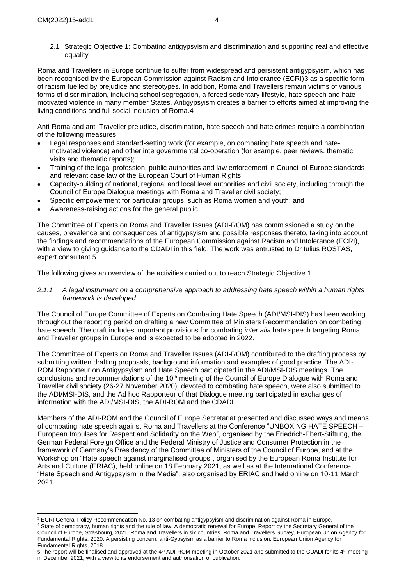<span id="page-3-0"></span>2.1 Strategic Objective 1: Combating antigypsyism and discrimination and supporting real and effective equality

Roma and Travellers in Europe continue to suffer from widespread and persistent antigypsyism, which has been recognised by the European Commission against Racism and Intolerance (ECRI)3 as a specific form of racism fuelled by prejudice and stereotypes. In addition, Roma and Travellers remain victims of various forms of discrimination, including school segregation, a forced sedentary lifestyle, hate speech and hatemotivated violence in many member States. Antigypsyism creates a barrier to efforts aimed at improving the living conditions and full social inclusion of Roma.4

Anti-Roma and anti-Traveller prejudice, discrimination, hate speech and hate crimes require a combination of the following measures:

- Legal responses and standard-setting work (for example, on combating hate speech and hatemotivated violence) and other intergovernmental co-operation (for example, peer reviews, thematic visits and thematic reports);
- Training of the legal profession, public authorities and law enforcement in Council of Europe standards and relevant case law of the European Court of Human Rights;
- Capacity-building of national, regional and local level authorities and civil society, including through the Council of Europe Dialogue meetings with Roma and Traveller civil society;
- Specific empowerment for particular groups, such as Roma women and youth; and
- Awareness-raising actions for the general public.

The Committee of Experts on Roma and Traveller Issues (ADI-ROM) has commissioned a study on the causes, prevalence and consequences of antigypsyism and possible responses thereto, taking into account the findings and recommendations of the European Commission against Racism and Intolerance (ECRI), with a view to giving guidance to the CDADI in this field. The work was entrusted to Dr Iulius ROSTAS, expert consultant.5

The following gives an overview of the activities carried out to reach Strategic Objective 1.

#### <span id="page-3-1"></span>*2.1.1 A legal instrument on a comprehensive approach to addressing hate speech within a human rights framework is developed*

The Council of Europe Committee of Experts on Combating Hate Speech (ADI/MSI-DIS) has been working throughout the reporting period on drafting a new Committee of Ministers Recommendation on combating hate speech. The draft includes important provisions for combating *inter alia* hate speech targeting Roma and Traveller groups in Europe and is expected to be adopted in 2022.

The Committee of Experts on Roma and Traveller Issues (ADI-ROM) contributed to the drafting process by submitting written drafting proposals, background information and examples of good practice. The ADI-ROM Rapporteur on Antigypsyism and Hate Speech participated in the ADI/MSI-DIS meetings. The conclusions and recommendations of the 10<sup>th</sup> meeting of the Council of Europe Dialogue with Roma and Traveller civil society (26-27 November 2020), devoted to combating hate speech, were also submitted to the ADI/MSI-DIS, and the Ad hoc Rapporteur of that Dialogue meeting participated in exchanges of information with the ADI/MSI-DIS, the ADI-ROM and the CDADI.

Members of the ADI-ROM and the Council of Europe Secretariat presented and discussed ways and means of combating hate speech against Roma and Travellers at the Conference ["UNBOXING HATE SPEECH –](https://www.fes.de/en/unboxing-hate-speech-konferenz) [European Impulses for Respect and Solidarity on the Web"](https://www.fes.de/en/unboxing-hate-speech-konferenz), organised by the Friedrich-Ebert-Stiftung, the German Federal Foreign Office and the Federal Ministry of Justice and Consumer Protection in the framework of Germany's Presidency of the Committee of Ministers of the Council of Europe, and at the Workshop on "Hate speech against marginalised groups", organised by the European Roma Institute for Arts and Culture (ERIAC), held online on 18 February 2021, as well as at the International Conference "Hate Speech and Antigypsyism in the Media", also organised by ERIAC and held online on 10-11 March 2021.

<sup>4</sup> State of democracy, human rights and the rule of law. A democratic renewal for Europe, Report by the Secretary General of the Council of Europe, Strasbourg, 2021; Roma and Travellers in six countries. Roma and Travellers Survey, European Union Agency for Fundamental Rights, 2020; A persisting concern: anti-Gypsyism as a barrier to Roma inclusion, European Union Agency for Fundamental Rights, 2018.

5 The report will be finalised and approved at the 4<sup>th</sup> ADI-ROM meeting in October 2021 and submitted to the CDADI for its 4<sup>th</sup> meeting in December 2021, with a view to its endorsement and authorisation of publication.

<sup>&</sup>lt;sup>3</sup> ECRI General Policy Recommendation No. 13 on combating antigypsyism and discrimination against Roma in Europe.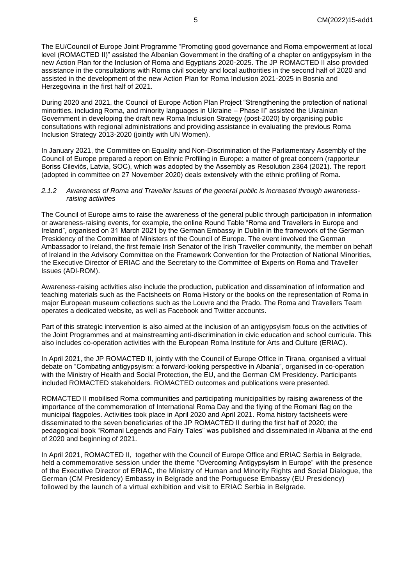The EU/Council of Europe Joint Programme "Promoting good governance and Roma empowerment at local level (ROMACTED II)" assisted the Albanian Government in the drafting of a chapter on antigypsyism in the new Action Plan for the Inclusion of Roma and Egyptians 2020-2025. The JP ROMACTED II also provided assistance in the consultations with Roma civil society and local authorities in the second half of 2020 and assisted in the development of the new Action Plan for Roma Inclusion 2021-2025 in Bosnia and Herzegovina in the first half of 2021.

During 2020 and 2021, the Council of Europe Action Plan Project "Strengthening the protection of national minorities, including Roma, and minority languages in Ukraine – Phase II" assisted the Ukrainian Government in developing the draft new Roma Inclusion Strategy (post-2020) by organising public consultations with regional administrations and providing assistance in evaluating the previous Roma Inclusion Strategy 2013-2020 (jointly with UN Women).

In January 2021, the Committee on Equality and Non-Discrimination of the Parliamentary Assembly of the Council of Europe prepared a report on Ethnic Profiling in Europe: a matter of great concern (rapporteur Boriss Cilevičs, Latvia, SOC), which was adopted by the Assembly as [Resolution 2364](https://pace.coe.int/en/files/29023/html) (2021). The [report](https://pace.coe.int/files/28889/html) (adopted in committee on 27 November 2020) deals extensively with the ethnic profiling of Roma.

#### <span id="page-4-0"></span>*2.1.2 Awareness of Roma and Traveller issues of the general public is increased through awarenessraising activities*

The Council of Europe aims to raise the awareness of the general public through participation in information or awareness-raising events, for example, the online Round Table "Roma and Travellers in Europe and Ireland", organised on 31 March 2021 by the German Embassy in Dublin in the framework of the German Presidency of the Committee of Ministers of the Council of Europe. The event involved the German Ambassador to Ireland, the first female Irish Senator of the Irish Traveller community, the member on behalf of Ireland in the Advisory Committee on the Framework Convention for the Protection of National Minorities, the Executive Director of ERIAC and the Secretary to the Committee of Experts on Roma and Traveller Issues (ADI-ROM).

Awareness-raising activities also include the production, publication and dissemination of information and teaching materials such as the Factsheets on Roma History or the books on the representation of Roma in major European museum collections such as the Louvre and the Prado. The Roma and Travellers Team operates a dedicated website, as well as Facebook and Twitter accounts.

Part of this strategic intervention is also aimed at the inclusion of an antigypsyism focus on the activities of the Joint Programmes and at mainstreaming anti-discrimination in civic education and school curricula. This also includes co-operation activities with the European Roma Institute for Arts and Culture (ERIAC).

In April 2021, the JP ROMACTED II, jointly with the Council of Europe Office in Tirana, organised a virtual debate on ["Combating antigypsyism: a forward-looking perspective in Albania",](https://pjp-eu.coe.int/en/web/roma-local-governance/-/combatting-antigypsyism-a-forward-looking-perspective-in-albania) organised in co-operation with the Ministry of Health and Social Protection, the EU, and the German CM Presidency. Participants included ROMACTED stakeholders. ROMACTED outcomes and publications were presented.

ROMACTED II mobilised Roma communities and participating municipalities by raising awareness of the importance of the commemoration of International Roma Day and the flying of the Romani flag on the municipal flagpoles. Activities took place in April 2020 and April 2021. Roma history factsheets were disseminated to the seven beneficiaries of the JP ROMACTED II during the first half of 2020; the pedagogical book "Romani Legends and Fairy Tales" was published and disseminated in Albania at the end of 2020 and beginning of 2021.

In April 2021, ROMACTED II, together with the Council of Europe Office and ERIAC Serbia in Belgrade, held a commemorative session under the theme ["Overcoming Antigypsyism in Europe"](https://pjp-eu.coe.int/en/web/roma-local-governance/-/overcoming-antigypsyism-in-europe-international-roma-day-2021-marked-in-serbia) with the presence of the Executive Director of ERIAC, the Ministry of Human and Minority Rights and Social Dialogue, the German (CM Presidency) Embassy in Belgrade and the Portuguese Embassy (EU Presidency) followed by the launch of a virtual exhibition and visit to ERIAC Serbia in Belgrade.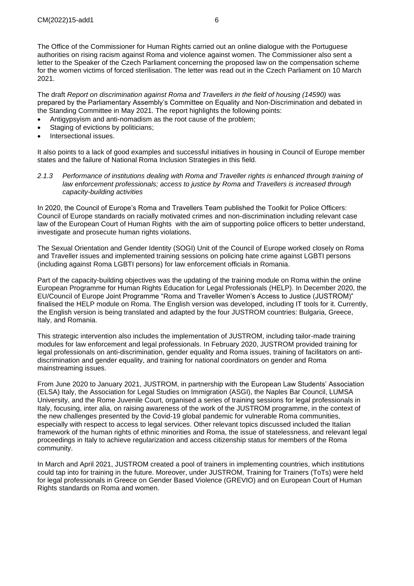The Office of the Commissioner for Human Rights carried out an online dialogue with the Portuguese authorities on rising racism against Roma and violence against women. The Commissioner also sent a letter to the Speaker of the Czech Parliament concerning the proposed law on the compensation scheme for the women victims of forced sterilisation. The letter was read out in the Czech Parliament on 10 March 2021.

The draft *Report on discrimination against Roma and Travellers in the field of housing (14590)* was prepared by the Parliamentary Assembly's Committee on Equality and Non-Discrimination and debated in the Standing Committee in May 2021. The report highlights the following points:

- Antigypsyism and anti-nomadism as the root cause of the problem;
- Staging of evictions by politicians;
- Intersectional issues.

It also points to a lack of good examples and successful initiatives in housing in Council of Europe member states and the failure of National Roma Inclusion Strategies in this field.

<span id="page-5-0"></span>*2.1.3 Performance of institutions dealing with Roma and Traveller rights is enhanced through training of law enforcement professionals; access to justice by Roma and Travellers is increased through capacity-building activities*

In 2020, the Council of Europe's Roma and Travellers Team published the [Toolkit for Police Officers:](https://www.coe.int/en/web/roma-and-travellers/-/toolkit-for-police-officers-council-of-europe-standards-on-racially-motivated-crimes-and-non-discrimination)  [Council of Europe standards on racially motivated crimes and non-discrimination](https://www.coe.int/en/web/roma-and-travellers/-/toolkit-for-police-officers-council-of-europe-standards-on-racially-motivated-crimes-and-non-discrimination) including relevant case law of the European Court of Human Rights with the aim of supporting police officers to better understand, investigate and prosecute human rights violations.

The Sexual Orientation and Gender Identity (SOGI) Unit of the Council of Europe worked closely on Roma and Traveller issues and implemented training sessions on policing hate crime against LGBTI persons (including against Roma LGBTI persons) for law enforcement officials in Romania.

Part of the capacity-building objectives was the updating of the training module on Roma within the online European Programme for Human Rights Education for Legal Professionals (HELP). In December 2020, the EU/Council of Europe Joint Programme "Roma and Traveller Women's Access to Justice (JUSTROM)" finalised the HELP module on Roma. The English version was developed, including IT tools for it. Currently, the English version is being translated and adapted by the four JUSTROM countries: Bulgaria, Greece, Italy, and Romania.

This strategic intervention also includes the implementation of JUSTROM, including tailor-made training modules for law enforcement and legal professionals. In February 2020, JUSTROM provided training for legal professionals on anti-discrimination, gender equality and Roma issues, training of facilitators on antidiscrimination and gender equality, and training for national coordinators on gender and Roma mainstreaming issues.

From June 2020 to January 2021, JUSTROM, in partnership with the European Law Students' Association (ELSA) Italy, the Association for Legal Studies on Immigration (ASGI), the Naples Bar Council, LUMSA University, and the Rome Juvenile Court, organised a series of training sessions for legal professionals in Italy, focusing, inter alia, on raising awareness of the work of the JUSTROM programme, in the context of the new challenges presented by the Covid-19 global pandemic for vulnerable Roma communities, especially with respect to access to legal services. Other relevant topics discussed included the Italian framework of the human rights of ethnic minorities and Roma, the issue of statelessness, and relevant legal proceedings in Italy to achieve regularization and access citizenship status for members of the Roma community.

In March and April 2021, JUSTROM created a pool of trainers in implementing countries, which institutions could tap into for training in the future. Moreover, under JUSTROM, Training for Trainers (ToTs) were held for legal professionals in Greece on Gender Based Violence (GREVIO) and on European Court of Human Rights standards on Roma and women.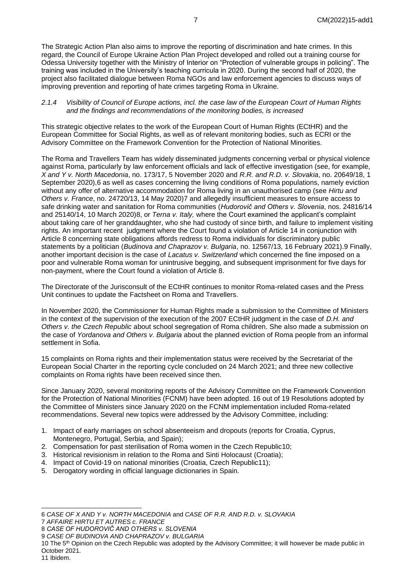The Strategic Action Plan also aims to improve the reporting of discrimination and hate crimes. In this regard, the Council of Europe Ukraine Action Plan Project developed and rolled out a training course for Odessa University together with the Ministry of Interior on "Protection of vulnerable groups in policing". The training was included in the University's teaching curricula in 2020. During the second half of 2020, the project also facilitated dialogue between Roma NGOs and law enforcement agencies to discuss ways of improving prevention and reporting of hate crimes targeting Roma in Ukraine.

#### <span id="page-6-0"></span>*2.1.4 Visibility of Council of Europe actions, incl. the case law of the European Court of Human Rights and the findings and recommendations of the monitoring bodies, is increased*

This strategic objective relates to the work of the European Court of Human Rights (ECtHR) and the European Committee for Social Rights, as well as of relevant monitoring bodies, such as ECRI or the Advisory Committee on the Framework Convention for the Protection of National Minorities.

The Roma and Travellers Team has widely disseminated judgments concerning verbal or physical violence against Roma, particularly by law enforcement officials and lack of effective investigation (see, for example, *X and Y v. North Macedonia*, no. 173/17, 5 November 2020 and *R.R. and R.D. v. Slovakia*, no. 20649/18, 1 September 2020),6 as well as cases concerning the living conditions of Roma populations, namely eviction without any offer of alternative accommodation for Roma living in an unauthorised camp (see *Hirtu and Others v. France*, no. 24720/13, 14 May 2020)7 and allegedly insufficient measures to ensure access to safe drinking water and sanitation for Roma communities (*Hudorovič and Others v. Slovenia*, nos. 24816/14 and 25140/14, 10 March 2020)8, or *Terna v. Italy,* where the Court examined the applicant's complaint about taking care of her granddaughter, who she had custody of since birth, and failure to implement visiting rights. An important recent judgment where the Court found a violation of Article 14 in conjunction with Article 8 concerning state obligations affords redress to Roma individuals for discriminatory public statements by a politician (*Budinova and Chaprazov v. Bulgaria*, no. 12567/13, 16 February 2021).9 Finally, another important decision is the case of *Lacatus v. Switzerland* which concerned the fine imposed on a poor and vulnerable Roma woman for unintrusive begging, and subsequent imprisonment for five days for non-payment, where the Court found a violation of Article 8.

The Directorate of the Jurisconsult of the ECtHR continues to monitor Roma-related cases and the Press Unit continues to update the [Factsheet on Roma and Travellers.](https://www.echr.coe.int/Pages/home.aspx?p=press/factsheets&c)

In November 2020, the Commissioner for Human Rights made a [submission](https://www.coe.int/en/web/commissioner/-/czech-authorities-should-adopt-broader-measures-to-end-school-segregation-of-roma-children?inheritRedirect=true&redirect=%2Fen%2Fweb%2Fcommissioner%2Fthematic-work%2Froma-and-travellers) to the Committee of Ministers in the context of the supervision of the execution of the 2007 ECtHR judgment in the case of *D.H. and Others v. the Czech Republic* about school segregation of Roma children. She also made a [submission](https://www.coe.int/en/web/commissioner/-/bulgarian-authorities-should-prevent-forced-evictions-tackle-the-stigmatisation-and-marginalisation-of-roma-and-improve-their-access-to-adequate-housi?inheritRedirect=true&redirect=%2Fen%2Fweb%2Fcommissioner%2Fthematic-work%2Froma-and-travellers) on the case of *Yordanova and Others v. Bulgaria* about the planned eviction of Roma people from an informal settlement in Sofia.

15 complaints on Roma rights and their implementation status were received by the Secretariat of the European Social Charter in the reporting cycle concluded on 24 March 2021; and three new collective complaints on Roma rights have been received since then.

Since January 2020, several monitoring reports of the Advisory Committee on the Framework Convention for the Protection of National Minorities (FCNM) have been adopted. 16 out of 19 Resolutions adopted by the Committee of Ministers since January 2020 on the FCNM implementation included Roma-related recommendations. Several new topics were addressed by the Advisory Committee, including:

- 1. Impact of early marriages on school absenteeism and dropouts (reports for Croatia, Cyprus, Montenegro, Portugal, Serbia, and Spain);
- 2. Compensation for past sterilisation of Roma women in the Czech Republic10;
- 3. Historical revisionism in relation to the Roma and Sinti Holocaust (Croatia);
- 4. Impact of Covid-19 on national minorities (Croatia, Czech Republic11);
- 5. Derogatory wording in official language dictionaries in Spain.

6 *[CASE OF X AND Y v. NORTH MACEDONIA](https://hudoc.echr.coe.int/eng#{%22tabview%22:[%22document%22],%22itemid%22:[%22001-205543%22]})* and *[CASE OF R.R. AND R.D. v. SLOVAKIA](https://hudoc.echr.coe.int/eng#{%22tabview%22:[%22document%22],%22itemid%22:[%22001-204154%22]})* 7 *[AFFAIRE HIRTU ET AUTRES c. FRANCE](https://hudoc.echr.coe.int/eng#{%22tabview%22:[%22document%22],%22itemid%22:[%22001-202442%22]})*

8 *[CASE OF HUDOROVIČ AND OTHERS v. SLOVENIA](https://hudoc.echr.coe.int/eng#{%22tabview%22:[%22document%22],%22itemid%22:[%22001-201646%22]})*

<sup>9</sup> *[CASE OF BUDINOVA AND CHAPRAZOV v. BULGARIA](https://hudoc.echr.coe.int/eng#{%22tabview%22:[%22document%22],%22itemid%22:[%22001-207928%22]})*

<sup>10</sup> The 5<sup>th</sup> Opinion on the Czech Republic was adopted by the Advisory Committee; it will however be made public in October 2021.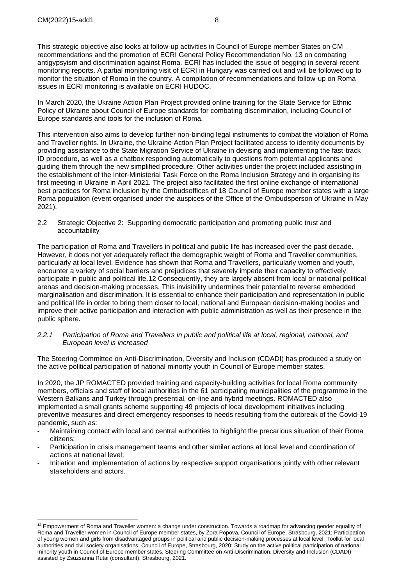This strategic objective also looks at follow-up activities in Council of Europe member States on CM recommendations and the promotion of ECRI General Policy Recommendation No. 13 on combating antigypsyism and discrimination against Roma. ECRI has included the issue of begging in several recent monitoring reports. A partial monitoring visit of ECRI in Hungary was carried out and will be followed up to monitor the situation of Roma in the country. A compilation of recommendations and follow-up on Roma issues in ECRI monitoring is available on ECRI HUDOC.

In March 2020, the Ukraine Action Plan Project provided online training for the State Service for Ethnic Policy of Ukraine about Council of Europe standards for combating discrimination, including Council of Europe standards and tools for the inclusion of Roma.

This intervention also aims to develop further non-binding legal instruments to combat the violation of Roma and Traveller rights. In Ukraine, the Ukraine Action Plan Project facilitated access to identity documents by providing assistance to the State Migration Service of Ukraine in devising and implementing the fast-track ID procedure, as well as a chatbox responding automatically to questions from potential applicants and guiding them through the new simplified procedure. Other activities under the project included assisting in the establishment of the Inter-Ministerial Task Force on the Roma Inclusion Strategy and in organising its first meeting in Ukraine in April 2021. The project also facilitated the first online exchange of international best practices for Roma inclusion by the Ombudsoffices of 18 Council of Europe member states with a large Roma population (event organised under the auspices of the Office of the Ombudsperson of Ukraine in May 2021).

<span id="page-7-0"></span>2.2 Strategic Objective 2: Supporting democratic participation and promoting public trust and accountability

The participation of Roma and Travellers in political and public life has increased over the past decade. However, it does not yet adequately reflect the demographic weight of Roma and Traveller communities, particularly at local level. Evidence has shown that Roma and Travellers, particularly women and youth, encounter a variety of social barriers and prejudices that severely impede their capacity to effectively participate in public and political life.12 Consequently, they are largely absent from local or national political arenas and decision-making processes. This invisibility undermines their potential to reverse embedded marginalisation and discrimination. It is essential to enhance their participation and representation in public and political life in order to bring them closer to local, national and European decision-making bodies and improve their active participation and interaction with public administration as well as their presence in the public sphere.

#### <span id="page-7-1"></span>*2.2.1 Participation of Roma and Travellers in public and political life at local, regional, national, and European level is increased*

The Steering Committee on Anti-Discrimination, Diversity and Inclusion (CDADI) has produced a study on the active political participation of national minority youth in Council of Europe member states.

In 2020, the JP ROMACTED provided training and capacity-building activities for local Roma community members, officials and staff of local authorities in the 61 participating municipalities of the programme in the Western Balkans and Turkey through presential, on-line and hybrid meetings. ROMACTED also implemented a small grants scheme supporting 49 projects of local development initiatives including preventive measures and direct emergency responses to needs resulting from the outbreak of the Covid-19 pandemic, such as:

- Maintaining contact with local and central authorities to highlight the precarious situation of their Roma citizens;
- Participation in crisis management teams and other similar actions at local level and coordination of actions at national level;
- Initiation and implementation of actions by respective support organisations jointly with other relevant stakeholders and actors.

<sup>&</sup>lt;sup>12</sup> Empowerment of Roma and Traveller women: a change under construction. Towards a roadmap for advancing gender equality of Roma and Traveller women in Council of Europe member states, by Zora Popova, Council of Europe, Strasbourg, 2021; Participation of young women and girls from disadvantaged groups in political and public decision-making processes at local level. Toolkit for local authorities and civil society organisations, Council of Europe, Strasbourg, 2020; Study on the active political participation of national minority youth in Council of Europe member states, Steering Committee on Anti-Discrimination, Diversity and Inclusion (CDADI) assisted by Zsuzsanna Rutai (consultant), Strasbourg, 2021.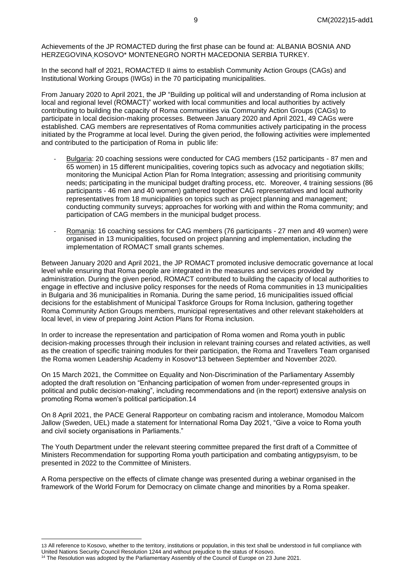Achievements of the JP ROMACTED during the first phase can be found at: [ALBANIA](https://www.canva.com/design/DADcwI3BgPc/qpPIeU8uaSuwbVE3OHNz-w/view?utm_content=DADcwI3BgPc&utm_campaign=designshare&utm_medium=link&utm_source=homepage_design_menu) [BOSNIA AND](https://www.canva.com/design/DADcpgboR4c/q-2URfK_5EOdGSYsVI0Guw/view?utm_content=DADcpgboR4c&utm_campaign=designshare&utm_medium=link&utm_source=homepage_design_menu)  [HERZEGOVINA](https://www.canva.com/design/DADcpgboR4c/q-2URfK_5EOdGSYsVI0Guw/view?utm_content=DADcpgboR4c&utm_campaign=designshare&utm_medium=link&utm_source=homepage_design_menu) [KOSOVO\\*](https://www.canva.com/design/DADcoqGzXRU/xwHeMQPxglycVQOykftqeg/view?utm_content=DADcoqGzXRU&utm_campaign=designshare&utm_medium=link&utm_source=publishsharelink) [MONTENEGRO](https://www.canva.com/design/DADcpbjFjZc/HZqzdN1VX0-Rg6EWKiqsDQ/view?utm_content=DADcpbjFjZc&utm_campaign=designshare&utm_medium=link&utm_source=publishsharelink) [NORTH MACEDONIA](https://www.canva.com/design/DADcwMv7GQg/hUEfz7qyqk_FO2Tuqzh1aA/view?utm_content=DADcwMv7GQg&utm_campaign=designshare&utm_medium=link&utm_source=publishsharelink) [SERBIA](https://www.canva.com/design/DADcwEjpUUE/uEYICWoC-rDg5p8zudmMJA/view?utm_content=DADcwEjpUUE&utm_campaign=designshare&utm_medium=link&utm_source=publishsharelink) [TURKEY.](https://www.canva.com/design/DADcwHnreSM/-fpTS3YT6602ZxvFyeu25g/view?utm_content=DADcwHnreSM&utm_campaign=designshare&utm_medium=link&utm_source=publishsharelink)

In the second half of 2021, ROMACTED II aims to establish Community Action Groups (CAGs) and Institutional Working Groups (IWGs) in the 70 participating municipalities.

From January 2020 to April 2021, the JP "Building up political will and understanding of Roma inclusion at local and regional level (ROMACT)" worked with local communities and local authorities by actively contributing to building the capacity of Roma communities via Community Action Groups (CAGs) to participate in local decision-making processes. Between January 2020 and April 2021, 49 CAGs were established. CAG members are representatives of Roma communities actively participating in the process initiated by the Programme at local level. During the given period, the following activities were implemented and contributed to the participation of Roma in public life:

- Bulgaria: 20 coaching sessions were conducted for CAG members (152 participants 87 men and 65 women) in 15 different municipalities, covering topics such as advocacy and negotiation skills; monitoring the Municipal Action Plan for Roma Integration; assessing and prioritising community needs; participating in the municipal budget drafting process, etc. Moreover, 4 training sessions (86 participants - 46 men and 40 women) gathered together CAG representatives and local authority representatives from 18 municipalities on topics such as project planning and management; conducting community surveys; approaches for working with and within the Roma community; and participation of CAG members in the municipal budget process.
- Romania: 16 coaching sessions for CAG members (76 participants 27 men and 49 women) were organised in 13 municipalities, focused on project planning and implementation, including the implementation of ROMACT small grants schemes.

Between January 2020 and April 2021, the JP ROMACT promoted inclusive democratic governance at local level while ensuring that Roma people are integrated in the measures and services provided by administration. During the given period, ROMACT contributed to building the capacity of local authorities to engage in effective and inclusive policy responses for the needs of Roma communities in 13 municipalities in Bulgaria and 36 municipalities in Romania. During the same period, 16 municipalities issued official decisions for the establishment of Municipal Taskforce Groups for Roma Inclusion, gathering together Roma Community Action Groups members, municipal representatives and other relevant stakeholders at local level, in view of preparing Joint Action Plans for Roma inclusion.

In order to increase the representation and participation of Roma women and Roma youth in public decision-making processes through their inclusion in relevant training courses and related activities, as well as the creation of specific training modules for their participation, the Roma and Travellers Team organised the Roma women Leadership Academy in Kosovo\*13 between September and November 2020.

On 15 March 2021, the Committee on Equality and Non-Discrimination of the Parliamentary Assembly adopted the [draft resolution](https://pace.coe.int/en/news/8211/enhancing-participation-of-women-from-under-represented-groups-in-political-and-public-decision-making) on "Enhancing participation of women from under-represented groups in political and public decision-making", including recommendations and (in the [report\)](https://assembly.coe.int/LifeRay/EGA/Pdf/TextesProvisoires/2021/20210326-EnhancingParticipationWomen-EN.pdf) extensive analysis on promoting Roma women's political participation.14

On 8 April 2021, the PACE General Rapporteur on combating racism and intolerance, Momodou Malcom Jallow (Sweden, UEL) made a [statement](https://pace.coe.int/en/news/8242/-give-a-voice-to-roma-youth-and-civil-society-organisations-in-parliaments-) for International Roma Day 2021, "Give a voice to Roma youth and civil society organisations in Parliaments."

The Youth Department under the relevant steering committee prepared the first draft of a Committee of Ministers Recommendation for supporting Roma youth participation and combating antigypsyism, to be presented in 2022 to the Committee of Ministers.

A Roma perspective on the effects of climate change was presented during a webinar organised in the framework of the World Forum for Democracy on climate change and minorities by a Roma speaker.

<sup>13</sup> All reference to Kosovo, whether to the territory, institutions or population, in this text shall be understood in full compliance with United Nations Security Council Resolution 1244 and without prejudice to the status of Kosovo.

<sup>&</sup>lt;sup>14</sup> The Resolution was adopted by the Parliamentary Assembly of the Council of Europe on 23 June 2021.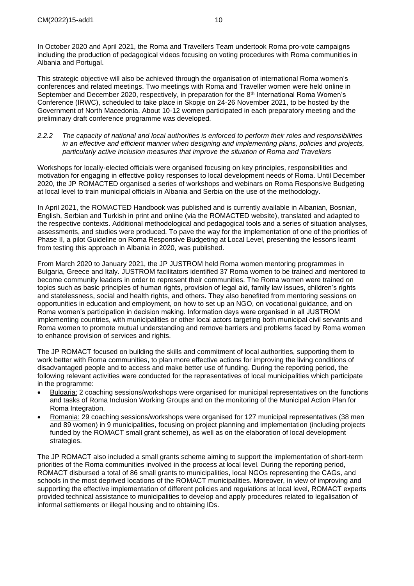In October 2020 and April 2021, the Roma and Travellers Team undertook Roma pro-vote campaigns including the production of pedagogical videos focusing on voting procedures with Roma communities in Albania and Portugal.

This strategic objective will also be achieved through the organisation of international Roma women's conferences and related meetings. Two meetings with Roma and Traveller women were held online in September and December 2020, respectively, in preparation for the  $8<sup>th</sup>$  International Roma Women's Conference (IRWC), scheduled to take place in Skopje on 24-26 November 2021, to be hosted by the Government of North Macedonia. About 10-12 women participated in each preparatory meeting and the preliminary draft conference programme was developed.

<span id="page-9-0"></span>*2.2.2 The capacity of national and local authorities is enforced to perform their roles and responsibilities in an effective and efficient manner when designing and implementing plans, policies and projects, particularly active inclusion measures that improve the situation of Roma and Travellers*

Workshops for locally-elected officials were organised focusing on key principles, responsibilities and motivation for engaging in effective policy responses to local development needs of Roma. Until December 2020, the JP ROMACTED organised a series of workshops and webinars on Roma Responsive Budgeting at local level to train municipal officials in Albania and Serbia on the use of the methodology.

In April 2021, the ROMACTED Handbook was published and is currently available in Albanian, Bosnian, English, Serbian and Turkish in print and online (via the ROMACTED website), translated and adapted to the respective contexts. Additional methodological and pedagogical tools and a series of situation analyses, assessments, and studies were produced. To pave the way for the implementation of one of the priorities of Phase II, a pilot Guideline on Roma Responsive Budgeting at Local Level, presenting the lessons learnt from testing this approach in Albania in 2020, was published.

From March 2020 to January 2021, the JP JUSTROM held Roma women mentoring programmes in Bulgaria, Greece and Italy. JUSTROM facilitators identified 37 Roma women to be trained and mentored to become community leaders in order to represent their communities. The Roma women were trained on topics such as basic principles of human rights, provision of legal aid, family law issues, children's rights and statelessness, social and health rights, and others. They also benefited from mentoring sessions on opportunities in education and employment, on how to set up an NGO, on vocational guidance, and on Roma women's participation in decision making. Information days were organised in all JUSTROM implementing countries, with municipalities or other local actors targeting both municipal civil servants and Roma women to promote mutual understanding and remove barriers and problems faced by Roma women to enhance provision of services and rights.

The JP ROMACT focused on building the skills and commitment of local authorities, supporting them to work better with Roma communities, to plan more effective actions for improving the living conditions of disadvantaged people and to access and make better use of funding. During the reporting period, the following relevant activities were conducted for the representatives of local municipalities which participate in the programme:

- Bulgaria: 2 coaching sessions/workshops were organised for municipal representatives on the functions and tasks of Roma Inclusion Working Groups and on the monitoring of the Municipal Action Plan for Roma Integration.
- Romania: 29 coaching sessions/workshops were organised for 127 municipal representatives (38 men and 89 women) in 9 municipalities, focusing on project planning and implementation (including projects funded by the ROMACT small grant scheme), as well as on the elaboration of local development strategies.

The JP ROMACT also included a small grants scheme aiming to support the implementation of short-term priorities of the Roma communities involved in the process at local level. During the reporting period, ROMACT disbursed a total of 86 small grants to municipalities, local NGOs representing the CAGs, and schools in the most deprived locations of the ROMACT municipalities. Moreover, in view of improving and supporting the effective implementation of different policies and regulations at local level, ROMACT experts provided technical assistance to municipalities to develop and apply procedures related to legalisation of informal settlements or illegal housing and to obtaining IDs.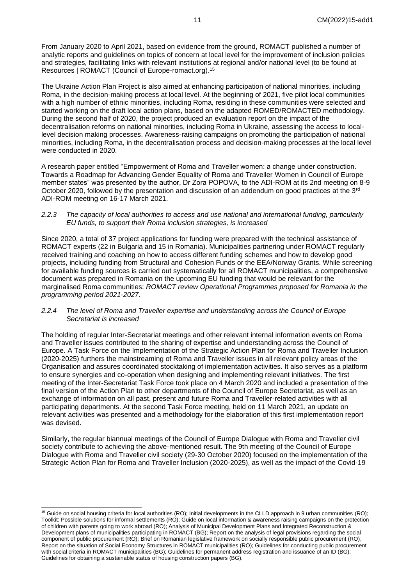From January 2020 to April 2021, based on evidence from the ground, ROMACT published a number of analytic reports and guidelines on topics of concern at local level for the improvement of inclusion policies and strategies, facilitating links with relevant institutions at regional and/or national level (to be found at Resources | ROMACT [\(Council of Europe-romact.org\).](http://coe-romact.org/resources) 15

The Ukraine Action Plan Project is also aimed at enhancing participation of national minorities, including Roma, in the decision-making process at local level. At the beginning of 2021, five pilot local communities with a high number of ethnic minorities, including Roma, residing in these communities were selected and started working on the draft local action plans, based on the adapted ROMED/ROMACTED methodology. During the second half of 2020, the project produced an evaluation report on the impact of the decentralisation reforms on national minorities, including Roma in Ukraine, assessing the access to locallevel decision making processes. Awareness-raising campaigns on promoting the participation of national minorities, including Roma, in the decentralisation process and decision-making processes at the local level were conducted in 2020.

A research paper entitled "Empowerment of Roma and Traveller women: a change under construction. Towards a Roadmap for Advancing Gender Equality of Roma and Traveller Women in Council of Europe member states" was presented by the author, Dr Zora POPOVA, to the ADI-ROM at its 2nd meeting on 8-9 October 2020, followed by the presentation and discussion of an addendum on good practices at the  $3<sup>rd</sup>$ ADI-ROM meeting on 16-17 March 2021.

#### <span id="page-10-0"></span>*2.2.3 The capacity of local authorities to access and use national and international funding, particularly EU funds, to support their Roma inclusion strategies, is increased*

Since 2020, a total of 37 project applications for funding were prepared with the technical assistance of ROMACT experts (22 in Bulgaria and 15 in Romania). Municipalities partnering under ROMACT regularly received training and coaching on how to access different funding schemes and how to develop good projects, including funding from Structural and Cohesion Funds or the EEA/Norway Grants. While screening for available funding sources is carried out systematically for all ROMACT municipalities, a comprehensive document was prepared in Romania on the upcoming EU funding that would be relevant for the marginalised Roma communities: *[ROMACT review Operational Programmes proposed for Romania in the](https://coe-romact.org/content/ro-operational-programmes%C2%A0proposed-romania-programming-period-2021-2027-romact-review)  [programming period 2021-2027](https://coe-romact.org/content/ro-operational-programmes%C2%A0proposed-romania-programming-period-2021-2027-romact-review)*.

#### <span id="page-10-1"></span>*2.2.4 The level of Roma and Traveller expertise and understanding across the Council of Europe Secretariat is increased*

The holding of regular Inter-Secretariat meetings and other relevant internal information events on Roma and Traveller issues contributed to the sharing of expertise and understanding across the Council of Europe. A Task Force on the Implementation of the [Strategic Action Plan for Roma and Traveller Inclusion](https://search.coe.int/cm/Pages/result_details.aspx?ObjectId=0900001680998933)  [\(2020-2025\)](https://search.coe.int/cm/Pages/result_details.aspx?ObjectId=0900001680998933) furthers the mainstreaming of Roma and Traveller issues in all relevant policy areas of the Organisation and assures coordinated stocktaking of implementation activities. It also serves as a platform to ensure synergies and co-operation when designing and implementing relevant initiatives. The first meeting of the Inter-Secretariat Task Force took place on 4 March 2020 and included a presentation of the final version of the Action Plan to other departments of the Council of Europe Secretariat, as well as an exchange of information on all past, present and future Roma and Traveller-related activities with all participating departments. At the second Task Force meeting, held on 11 March 2021, an update on relevant activities was presented and a methodology for the elaboration of this first implementation report was devised.

Similarly, the regular biannual meetings of the Council of Europe Dialogue with Roma and Traveller civil society contribute to achieving the above-mentioned result. The 9th meeting of the Council of Europe Dialogue with Roma and Traveller civil society (29-30 October 2020) focused on the implementation of the Strategic Action Plan for Roma and Traveller Inclusion (2020-2025), as well as the impact of the Covid-19

<sup>&</sup>lt;sup>15</sup> Guide on social housing criteria for local authorities (RO); Initial developments in the CLLD approach in 9 urban communities (RO); Toolkit: Possible solutions for informal settlements (RO); Guide on local information & awareness raising campaigns on the protection of children with parents going to work abroad (RO); Analysis of Municipal Development Plans and Integrated Reconstruction & Development plans of municipalities participating in ROMACT (BG); Report on the analysis of legal provisions regarding the social component of public procurement (RO); Brief on Romanian legislative framework on socially responsible public procurement (RO); Report on the situation of Social Economy Structures in ROMACT municipalities (RO); Guidelines for conducting public procurement with social criteria in ROMACT municipalities (BG); Guidelines for permanent address registration and issuance of an ID (BG); Guidelines for obtaining a sustainable status of housing construction papers (BG).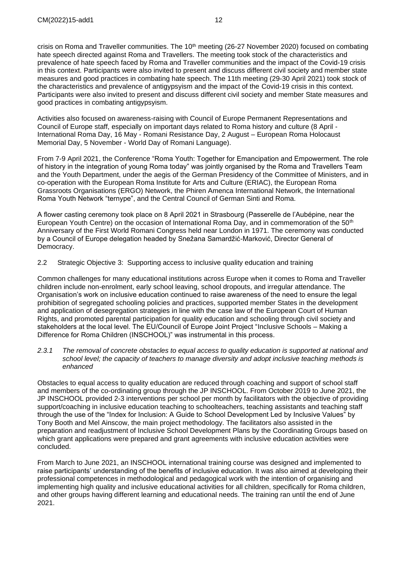crisis on Roma and Traveller communities. The 10<sup>th</sup> meeting (26-27 November 2020) focused on combating hate speech directed against Roma and Travellers. The meeting took stock of the characteristics and prevalence of hate speech faced by Roma and Traveller communities and the impact of the Covid-19 crisis in this context. Participants were also invited to present and discuss different civil society and member state measures and good practices in combating hate speech. The 11th meeting (29-30 April 2021) took stock of the characteristics and prevalence of antigypsyism and the impact of the Covid-19 crisis in this context. Participants were also invited to present and discuss different civil society and member State measures and good practices in combating antigypsyism.

Activities also focused on awareness-raising with Council of Europe Permanent Representations and Council of Europe staff, especially on important days related to Roma history and culture (8 April - International Roma Day, 16 May - Romani Resistance Day, 2 August – European Roma Holocaust Memorial Day, 5 November - World Day of Romani Language).

From 7-9 April 2021, the Conference "Roma Youth: Together for Emancipation and Empowerment. The role of history in the integration of young Roma today" was jointly organised by the Roma and Travellers Team and the Youth Department, under the aegis of the German Presidency of the Committee of Ministers, and in co-operation with the European Roma Institute for Arts and Culture (ERIAC), the European Roma Grassroots Organisations (ERGO) Network, the Phiren Amenca International Network, the International Roma Youth Network "ternype", and the Central Council of German Sinti and Roma.

A flower casting ceremony took place on 8 April 2021 in Strasbourg (Passerelle de l'Aubépine, near the European Youth Centre) on the occasion of International Roma Day, and in commemoration of the  $50<sup>th</sup>$ Anniversary of the First World Romani Congress held near London in 1971. The ceremony was conducted by a Council of Europe delegation headed by Snežana Samardžić-Marković, Director General of Democracy.

<span id="page-11-0"></span>2.2 Strategic Objective 3: Supporting access to inclusive quality education and training

Common challenges for many educational institutions across Europe when it comes to Roma and Traveller children include non-enrolment, early school leaving, school dropouts, and irregular attendance. The Organisation's work on inclusive education continued to raise awareness of the need to ensure the legal prohibition of segregated schooling policies and practices, supported member States in the development and application of desegregation strategies in line with the case law of the European Court of Human Rights, and promoted parental participation for quality education and schooling through civil society and stakeholders at the local level. The EU/Council of Europe Joint Project "Inclusive Schools – Making a Difference for Roma Children (INSCHOOL)" was instrumental in this process.

<span id="page-11-1"></span>*2.3.1 The removal of concrete obstacles to equal access to quality education is supported at national and school level; the capacity of teachers to manage diversity and adopt inclusive teaching methods is enhanced*

Obstacles to equal access to quality education are reduced through coaching and support of school staff and members of the co-ordinating group through the JP INSCHOOL. From October 2019 to June 2021, the JP INSCHOOL provided 2-3 interventions per school per month by facilitators with the objective of providing support/coaching in inclusive education teaching to schoolteachers, teaching assistants and teaching staff through the use of the "Index for Inclusion: A Guide to School Development Led by Inclusive Values" by Tony Booth and Mel Ainscow, the main project methodology. The facilitators also assisted in the preparation and readjustment of Inclusive School Development Plans by the Coordinating Groups based on which grant applications were prepared and grant agreements with inclusive education activities were concluded.

From March to June 2021, an INSCHOOL international training course was designed and implemented to raise participants' understanding of the benefits of inclusive education. It was also aimed at developing their professional competences in methodological and pedagogical work with the intention of organising and implementing high quality and inclusive educational activities for all children, specifically for Roma children, and other groups having different learning and educational needs. The training ran until the end of June 2021.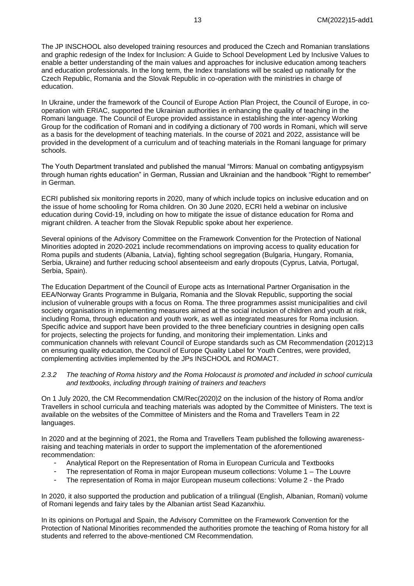The JP INSCHOOL also developed training resources and produced the Czech and Romanian translations and graphic redesign of the Index for Inclusion: A Guide to School Development Led by Inclusive Values to enable a better understanding of the main values and approaches for inclusive education among teachers and education professionals. In the long term, the Index translations will be scaled up nationally for the Czech Republic, Romania and the Slovak Republic in co-operation with the ministries in charge of education.

In Ukraine, under the framework of the Council of Europe Action Plan Project, the Council of Europe, in cooperation with ERIAC, supported the Ukrainian authorities in enhancing the quality of teaching in the Romani language. The Council of Europe provided assistance in establishing the inter-agency Working Group for the codification of Romani and in codifying a dictionary of 700 words in Romani, which will serve as a basis for the development of teaching materials. In the course of 2021 and 2022, assistance will be provided in the development of a curriculum and of teaching materials in the Romani language for primary schools.

The Youth Department translated and published the manual "Mirrors: Manual on combating antigypsyism through human rights education" in German, Russian and Ukrainian and the handbook "Right to remember" in German.

ECRI published six monitoring reports in 2020, many of which include topics on inclusive education and on the issue of home schooling for Roma children. On 30 June 2020, ECRI held a webinar on inclusive education during Covid-19, including on how to mitigate the issue of distance education for Roma and migrant children. A teacher from the Slovak Republic spoke about her experience.

Several opinions of the Advisory Committee on the Framework Convention for the Protection of National Minorities adopted in 2020-2021 include recommendations on improving access to quality education for Roma pupils and students (Albania, Latvia), fighting school segregation (Bulgaria, Hungary, Romania, Serbia, Ukraine) and further reducing school absenteeism and early dropouts (Cyprus, Latvia, Portugal, Serbia, Spain).

The Education Department of the Council of Europe acts as International Partner Organisation in the EEA/Norway Grants Programme in Bulgaria, Romania and the Slovak Republic, supporting the social inclusion of vulnerable groups with a focus on Roma. The three programmes assist municipalities and civil society organisations in implementing measures aimed at the social inclusion of children and youth at risk, including Roma, through education and youth work, as well as integrated measures for Roma inclusion. Specific advice and support have been provided to the three beneficiary countries in designing open calls for projects, selecting the projects for funding, and monitoring their implementation. Links and communication channels with relevant Council of Europe standards such as CM Recommendation (2012)13 on ensuring quality education, the Council of Europe Quality Label for Youth Centres, were provided, complementing activities implemented by the JPs INSCHOOL and ROMACT.

#### <span id="page-12-0"></span>*2.3.2 The teaching of Roma history and the Roma Holocaust is promoted and included in school curricula and textbooks, including through training of trainers and teachers*

On 1 July 2020, the CM Recommendation [CM/Rec\(2020\)2](https://search.coe.int/cm/Pages/result_details.aspx?Reference=CM/Rec(2020)2) on the inclusion of the history of Roma and/or Travellers in school curricula and teaching materials was adopted by the Committee of Ministers. The text is available on the websites of the Committee of Ministers and the Roma and Travellers Team in 22 languages.

In 2020 and at the beginning of 2021, the Roma and Travellers Team published the following awarenessraising and teaching materials in order to support the implementation of the aforementioned recommendation:

- [Analytical Report on the Representation of Roma in European Curricula and Textbooks](https://www.coe.int/en/web/roma-and-travellers/-/publication-of-the-analytical-report-on-the-representation-of-roma-in-european-curricula-and-textbooks)
- [The representation of Roma in major European museum collections: Volume 1 –](https://www.coe.int/en/web/roma-and-travellers/-/the-representation-of-roma-in-major-european-museum-collections-volume-1-the-louv-2) The Louvre
- [The representation of Roma in major European museum collections: Volume 2 -](https://www.coe.int/en/web/roma-and-travellers/-/the-representation-of-roma-in-major-european-museum-collections-volume-2-the-pra-1) the Prado

In 2020, it also supported the production and publication of a trilingual (English, Albanian, Romani) volume of Romani legends and fairy tales by the Albanian artist Sead Kazanxhiu.

In its opinions on Portugal and Spain, the Advisory Committee on the Framework Convention for the Protection of National Minorities recommended the authorities promote the teaching of Roma history for all students and referred to the above-mentioned CM Recommendation.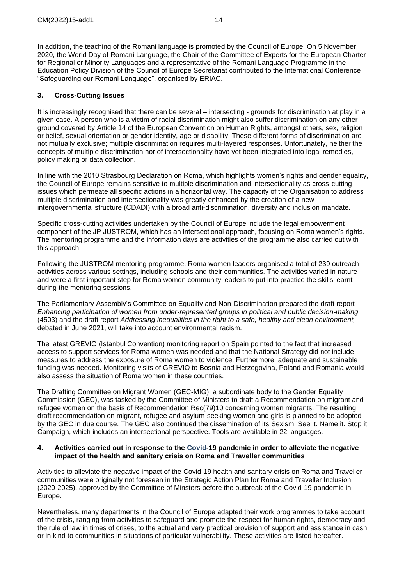In addition, the teaching of the Romani language is promoted by the Council of Europe. On 5 November 2020, the World Day of Romani Language, the Chair of the Committee of Experts for the European Charter for Regional or Minority Languages and a representative of the Romani Language Programme in the Education Policy Division of the Council of Europe Secretariat contributed to the International Conference "Safeguarding our Romani Language", organised by ERIAC.

### <span id="page-13-0"></span>**3. Cross-Cutting Issues**

It is increasingly recognised that there can be several – intersecting - grounds for discrimination at play in a given case. A person who is a victim of racial discrimination might also suffer discrimination on any other ground covered by Article 14 of the European Convention on Human Rights, amongst others, sex, religion or belief, sexual orientation or gender identity, age or disability. These different forms of discrimination are not mutually exclusive; multiple discrimination requires multi-layered responses. Unfortunately, neither the concepts of multiple discrimination nor of intersectionality have yet been integrated into legal remedies, policy making or data collection.

In line with the 2010 Strasbourg Declaration on Roma, which highlights women's rights and gender equality, the Council of Europe remains sensitive to multiple discrimination and intersectionality as cross-cutting issues which permeate all specific actions in a horizontal way. The capacity of the Organisation to address multiple discrimination and intersectionality was greatly enhanced by the creation of a new intergovernmental structure (CDADI) with a broad anti-discrimination, diversity and inclusion mandate.

Specific cross-cutting activities undertaken by the Council of Europe include the legal empowerment component of the JP JUSTROM, which has an intersectional approach, focusing on Roma women's rights. The mentoring programme and the information days are activities of the programme also carried out with this approach.

Following the JUSTROM mentoring programme, Roma women leaders organised a total of 239 outreach activities across various settings, including schools and their communities. The activities varied in nature and were a first important step for Roma women community leaders to put into practice the skills learnt during the mentoring sessions.

The Parliamentary Assembly's Committee on Equality and Non-Discrimination prepared the draft report *Enhancing participation of women from under-represented groups in political and public decision-making*  (4503) and the draft report *Addressing inequalities in the right to a safe, healthy and clean environment,*  debated in June 2021, will take into account environmental racism.

The latest GREVIO (Istanbul Convention) monitoring report on [Spain](https://www.coe.int/en/web/istanbul-convention/spain) pointed to the fact that increased access to support services for Roma women was needed and that the National Strategy did not include measures to address the exposure of Roma women to violence. Furthermore, adequate and sustainable funding was needed. Monitoring visits of GREVIO to Bosnia and Herzegovina, Poland and Romania would also assess the situation of Roma women in these countries.

The Drafting Committee on Migrant Women (GEC-MIG), a subordinate body to the [Gender Equality](https://www.coe.int/en/web/genderequality/gender-equality-commission)  [Commission \(GEC\),](https://www.coe.int/en/web/genderequality/gender-equality-commission) was tasked by the Committee of Ministers to draft a Recommendation on migrant and refugee women on the basis of Recommendation [Rec\(79\)10](https://search.coe.int/cm/Pages/result_details.aspx?Reference=Rec(79)10) concerning women migrants. The resulting draft recommendation on migrant, refugee and asylum-seeking women and girls is planned to be adopted by the GEC in due course. The GEC also continued the dissemination of its [Sexism: See it. Name it. Stop it!](https://human-rights-channel.coe.int/stop-sexism-en.html) Campaign, which includes an intersectional perspective. Tools are available in 22 languages.

#### <span id="page-13-1"></span>**4. Activities carried out in response to the Covid-19 pandemic in order to alleviate the negative impact of the health and sanitary crisis on Roma and Traveller communities**

Activities to alleviate the negative impact of the Covid-19 health and sanitary crisis on Roma and Traveller communities were originally not foreseen in the Strategic Action Plan for Roma and Traveller Inclusion (2020-2025), approved by the Committee of Minsters before the outbreak of the Covid-19 pandemic in Europe.

Nevertheless, many departments in the Council of Europe adapted their work programmes to take account of the crisis, ranging from activities to safeguard and promote the respect for human rights, democracy and the rule of law in times of crises, to the actual and very practical provision of support and assistance in cash or in kind to communities in situations of particular vulnerability. These activities are listed hereafter.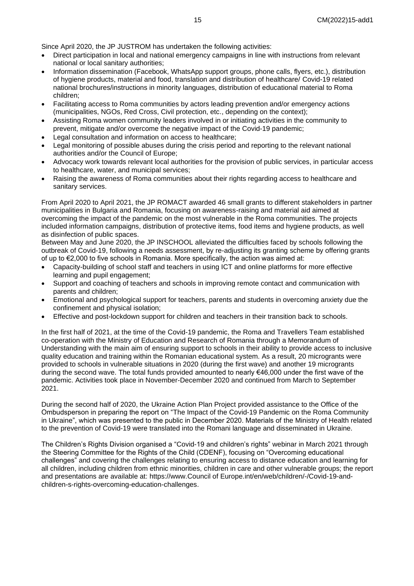Since April 2020, the JP JUSTROM has undertaken the following activities:

- Direct participation in local and national emergency campaigns in line with instructions from relevant national or local sanitary authorities;
- Information dissemination (Facebook, WhatsApp support groups, phone calls, flyers, etc.), distribution of hygiene products, material and food, translation and distribution of healthcare/ Covid-19 related national brochures/instructions in minority languages, distribution of educational material to Roma children;
- Facilitating access to Roma communities by actors leading prevention and/or emergency actions (municipalities, NGOs, Red Cross, Civil protection, etc., depending on the context);
- Assisting Roma women community leaders involved in or initiating activities in the community to prevent, mitigate and/or overcome the negative impact of the Covid-19 pandemic;
- Legal consultation and information on access to healthcare;
- Legal monitoring of possible abuses during the crisis period and reporting to the relevant national authorities and/or the Council of Europe;
- Advocacy work towards relevant local authorities for the provision of public services, in particular access to healthcare, water, and municipal services;
- Raising the awareness of Roma communities about their rights regarding access to healthcare and sanitary services.

From April 2020 to April 2021, the JP ROMACT awarded 46 small grants to different stakeholders in partner municipalities in Bulgaria and Romania, focusing on awareness-raising and material aid aimed at overcoming the impact of the pandemic on the most vulnerable in the Roma communities. The projects included information campaigns, distribution of protective items, food items and hygiene products, as well as disinfection of public spaces.

Between May and June 2020, the JP INSCHOOL alleviated the difficulties faced by schools following the outbreak of Covid-19, following a needs assessment, by re-adjusting its granting scheme by offering grants of up to €2,000 to five schools in Romania. More specifically, the action was aimed at:

- Capacity-building of school staff and teachers in using ICT and online platforms for more effective learning and pupil engagement;
- Support and coaching of teachers and schools in improving remote contact and communication with parents and children;
- Emotional and psychological support for teachers, parents and students in overcoming anxiety due the confinement and physical isolation;
- Effective and post-lockdown support for children and teachers in their transition back to schools.

In the first half of 2021, at the time of the Covid-19 pandemic, the Roma and Travellers Team established co-operation with the Ministry of Education and Research of Romania through a Memorandum of Understanding with the main aim of ensuring support to schools in their ability to provide access to inclusive quality education and training within the Romanian educational system. As a result, 20 microgrants were provided to schools in vulnerable situations in 2020 (during the first wave) and another 19 microgrants during the second wave. The total funds provided amounted to nearly €46,000 under the first wave of the pandemic. Activities took place in November-December 2020 and continued from March to September 2021.

During the second half of 2020, the Ukraine Action Plan Project provided assistance to the Office of the Ombudsperson in preparing the report on ["The Impact of the Covid-19 Pandemic on the Roma Community](https://rm.coe.int/special-report-11-01-2021/1680a13217)  [in Ukraine"](https://rm.coe.int/special-report-11-01-2021/1680a13217), which was presented to the public in December 2020. Materials of the Ministry of Health related to the prevention of Covid-19 were translated into the Romani language and disseminated in Ukraine.

The Children's Rights Division organised a "Covid-19 and children's rights" webinar in March 2021 through the Steering Committee for the Rights of the Child (CDENF), focusing on "Overcoming educational challenges" and covering the challenges relating to ensuring access to distance education and learning for all children, including children from ethnic minorities, children in care and other vulnerable groups; the report and presentations are available at: [https://www.Council of Europe.int/en/web/children/-/Covid-19-and](https://www.coe.int/en/web/children/-/covid-19-and-children-s-rights-overcoming-education-challenges)[children-s-rights-overcoming-education-challenges.](https://www.coe.int/en/web/children/-/covid-19-and-children-s-rights-overcoming-education-challenges)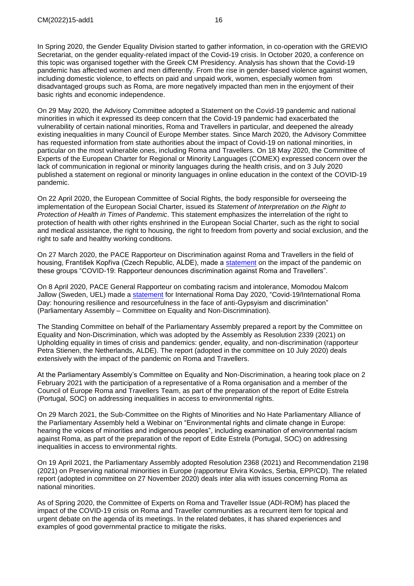In Spring 2020, the Gender Equality Division started to gather information, in co-operation with the GREVIO Secretariat, on the gender equality-related impact of the Covid-19 crisis. In October 2020, a conference on this topic was organised together with the Greek CM Presidency. Analysis has shown that the Covid-19 pandemic has affected women and men differently. From the rise in gender-based violence against women, including domestic violence, to effects on paid and unpaid work, women, especially women from disadvantaged groups such as Roma, are more negatively impacted than men in the enjoyment of their basic rights and economic independence.

On 29 May 2020, the Advisory Committee adopted a [Statement on the Covid-19 pandemic and national](https://rm.coe.int/acfc-statement-covid-19-and-national-minorities-28-05-2020-final-en/16809e8570)  [minorities](https://rm.coe.int/acfc-statement-covid-19-and-national-minorities-28-05-2020-final-en/16809e8570) in which it expressed its deep concern that the Covid-19 pandemic had exacerbated the vulnerability of certain national minorities, Roma and Travellers in particular, and deepened the already existing inequalities in many Council of Europe Member states. Since March 2020, the Advisory Committee has requested information from state authorities about the impact of Covid-19 on national minorities, in particular on the most vulnerable ones, including Roma and Travellers. On 18 May 2020, the Committee of Experts of the European Charter for Regional or Minority Languages [\(COMEX\) expressed concern over the](https://www.coe.int/en/web/european-charter-regional-or-minority-languages/news/-/asset_publisher/t9sWxmY5eZkv/content/comex-expresses-concern-over-lack-of-rml-communication-during-health-crisis?inheritRedirect=false&redirect=https%3A%2F%2Fwww.coe.int%2Fen%2Fweb%2Feuropean-charter-regional-or-minority-languages%2Fnews%3Fp_p_id%3D101_INSTANCE_t9sWxmY5eZkv%26p_p_lifecycle%3D0%26p_p_state%3Dnormal%26p_p_mode%3Dview%26p_p_col_id%3Dcolumn-4%26p_p_col_count%3D1)  [lack of communication in regional or minority languages during the health crisis,](https://www.coe.int/en/web/european-charter-regional-or-minority-languages/news/-/asset_publisher/t9sWxmY5eZkv/content/comex-expresses-concern-over-lack-of-rml-communication-during-health-crisis?inheritRedirect=false&redirect=https%3A%2F%2Fwww.coe.int%2Fen%2Fweb%2Feuropean-charter-regional-or-minority-languages%2Fnews%3Fp_p_id%3D101_INSTANCE_t9sWxmY5eZkv%26p_p_lifecycle%3D0%26p_p_state%3Dnormal%26p_p_mode%3Dview%26p_p_col_id%3Dcolumn-4%26p_p_col_count%3D1) and on 3 July 2020 published a [statement on regional or minority languages in online education in the context of the COVID-19](https://www.coe.int/en/web/european-charter-regional-or-minority-languages/news/-/asset_publisher/t9sWxmY5eZkv/content/rmls-in-online-education-in-the-context-of-the-covid-19-pandemic?inheritRedirect=false&redirect=https%3A%2F%2Fwww.coe.int%2Fen%2Fweb%2Feuropean-charter-regional-or-minority-languages%2Fnews%3Fp_p_id%3D101_INSTANCE_t9sWxmY5eZkv%26p_p_lifecycle%3D0%26p_p_state%3Dnormal%26p_p_mode%3Dview%26p_p_col_id%3Dcolumn-4%26p_p_col_count%3D1)  [pandemic.](https://www.coe.int/en/web/european-charter-regional-or-minority-languages/news/-/asset_publisher/t9sWxmY5eZkv/content/rmls-in-online-education-in-the-context-of-the-covid-19-pandemic?inheritRedirect=false&redirect=https%3A%2F%2Fwww.coe.int%2Fen%2Fweb%2Feuropean-charter-regional-or-minority-languages%2Fnews%3Fp_p_id%3D101_INSTANCE_t9sWxmY5eZkv%26p_p_lifecycle%3D0%26p_p_state%3Dnormal%26p_p_mode%3Dview%26p_p_col_id%3Dcolumn-4%26p_p_col_count%3D1)

On 22 April 2020, the European Committee of Social Rights, the body responsible for overseeing the implementation of the European Social Charter, issued its *Statement of Interpretation on the Right to Protection of Health in Times of Pandemic*. This statement emphasizes the interrelation of the right to protection of health with other rights enshrined in the European Social Charter, such as the right to social and medical assistance, the right to housing, the right to freedom from poverty and social exclusion, and the right to safe and healthy working conditions.

On 27 March 2020, the PACE Rapporteur on Discrimination against Roma and Travellers in the field of housing, František Kopřiva (Czech Republic, ALDE), made a [statement](https://pace.coe.int/en/news/7832/covid-19-rapporteur-denounces-discrimination-against-roma-and-travellers) on the impact of the pandemic on these groups "COVID-19: Rapporteur denounces discrimination against Roma and Travellers".

On 8 April 2020, PACE General Rapporteur on combating racism and intolerance, Momodou Malcom Jallow (Sweden, UEL) made a [statement](https://pace.coe.int/en/news/7846/covid-19-international-roma-day-honouring-resilience-and-resourcefulness-in-the-face-of-anti-gypsyism-and-discrimination) for International Roma Day 2020, "Covid-19/International Roma Day: honouring resilience and resourcefulness in the face of anti-Gypsyism and discrimination" (Parliamentary Assembly – Committee on Equality and Non-Discrimination).

The Standing Committee on behalf of the Parliamentary Assembly prepared a report by the Committee on Equality and Non-Discrimination, which was adopted by the Assembly as [Resolution 2339](https://pace.coe.int/files/28775/html) (2021) on Upholding equality in times of crisis and pandemics: gender, equality, and non-discrimination (rapporteur Petra Stienen, the Netherlands, ALDE). The [report](https://pace.coe.int/files/28678/html) (adopted in the committee on 10 July 2020) deals extensively with the impact of the pandemic on Roma and Travellers.

At the Parliamentary Assembly's Committee on Equality and Non-Discrimination, a hearing took place on 2 February 2021 with the participation of a representative of a Roma organisation and a member of the Council of Europe Roma and Travellers Team, as part of the preparation of the report of Edite Estrela (Portugal, SOC) on addressing inequalities in access to environmental rights.

On 29 March 2021, the Sub-Committee on the Rights of Minorities and No Hate Parliamentary Alliance of the Parliamentary Assembly held a [Webinar](https://t.co/5xiN22JZF5?amp=1) on "Environmental rights and climate change in Europe: hearing the voices of minorities and indigenous peoples", including examination of environmental racism against Roma, as part of the preparation of the report of Edite Estrela (Portugal, SOC) on addressing inequalities in access to environmental rights.

On 19 April 2021, the Parliamentary Assembly adopted [Resolution 2368](https://coe-my.sharepoint.com/personal/petra_neumann_coe_int/Documents/–%20report%20prepared%20by%20the%20Committee%20on%20Equality%20and%20Non-Discrimination) (2021) and [Recommendation 2198](https://pace.coe.int/files/29163/html) (2021) on Preserving national minorities in Europe (rapporteur Elvira Kovács, Serbia, EPP/CD). The related [report](https://pace.coe.int/files/28918/html) (adopted in committee on 27 November 2020) deals inter alia with issues concerning Roma as national minorities.

As of Spring 2020, the Committee of Experts on Roma and Traveller Issue (ADI-ROM) has placed the impact of the COVID-19 crisis on Roma and Traveller communities as a recurrent item for topical and urgent debate on the agenda of its meetings. In the related debates, it has shared experiences and examples of good governmental practice to mitigate the risks.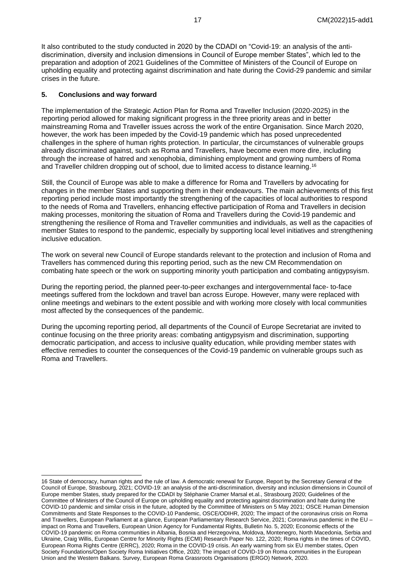It also contributed to the study conducted in 2020 by the CDADI on "Covid-19: an analysis of the antidiscrimination, diversity and inclusion dimensions in Council of Europe member States", which led to the preparation and adoption of 2021 Guidelines of the Committee of Ministers of the Council of Europe on upholding equality and protecting against discrimination and hate during the Covid-29 pandemic and similar crises in the future.

#### <span id="page-16-0"></span>**5. Conclusions and way forward**

The implementation of the Strategic Action Plan for Roma and Traveller Inclusion (2020-2025) in the reporting period allowed for making significant progress in the three priority areas and in better mainstreaming Roma and Traveller issues across the work of the entire Organisation. Since March 2020, however, the work has been impeded by the Covid-19 pandemic which has posed unprecedented challenges in the sphere of human rights protection. In particular, the circumstances of vulnerable groups already discriminated against, such as Roma and Travellers, have become even more dire, including through the increase of hatred and xenophobia, diminishing employment and growing numbers of Roma and Traveller children dropping out of school, due to limited access to distance learning.<sup>16</sup>

Still, the Council of Europe was able to make a difference for Roma and Travellers by advocating for changes in the member States and supporting them in their endeavours. The main achievements of this first reporting period include most importantly the strengthening of the capacities of local authorities to respond to the needs of Roma and Travellers, enhancing effective participation of Roma and Travellers in decision making processes, monitoring the situation of Roma and Travellers during the Covid-19 pandemic and strengthening the resilience of Roma and Traveller communities and individuals, as well as the capacities of member States to respond to the pandemic, especially by supporting local level initiatives and strengthening inclusive education.

The work on several new Council of Europe standards relevant to the protection and inclusion of Roma and Travellers has commenced during this reporting period, such as the new CM Recommendation on combating hate speech or the work on supporting minority youth participation and combating antigypsyism.

During the reporting period, the planned peer-to-peer exchanges and intergovernmental face- to-face meetings suffered from the lockdown and travel ban across Europe. However, many were replaced with online meetings and webinars to the extent possible and with working more closely with local communities most affected by the consequences of the pandemic.

During the upcoming reporting period, all departments of the Council of Europe Secretariat are invited to continue focusing on the three priority areas: combating antigypsyism and discrimination, supporting democratic participation, and access to inclusive quality education, while providing member states with effective remedies to counter the consequences of the Covid-19 pandemic on vulnerable groups such as Roma and Travellers.

<sup>16</sup> State of democracy, human rights and the rule of law. A democratic renewal for Europe, Report by the Secretary General of the Council of Europe, Strasbourg, 2021; COVID-19: an analysis of the anti-discrimination, diversity and inclusion dimensions in Council of Europe member States, study prepared for the CDADI by Stéphanie Cramer Marsal et.al., Strasbourg 2020; Guidelines of the Committee of Ministers of the Council of Europe on upholding equality and protecting against discrimination and hate during the COVID-10 pandemic and similar crisis in the future, adopted by the Committee of Ministers on 5 May 2021; OSCE Human Dimension Commitments and State Responses to the COVID-10 Pandemic, OSCE/ODIHR, 2020; The impact of the coronavirus crisis on Roma and Travellers, European Parliament at a glance, European Parliamentary Research Service, 2021; Coronavirus pandemic in the EU – impact on Roma and Travellers, European Union Agency for Fundamental Rights, Bulletin No. 5, 2020; Economic effects of the COVID-19 pandemic on Roma communities in Albania, Bosnia and Herzegovina, Moldova, Montenegro, North Macedonia, Serbia and Ukraine, Craig Willis, European Centre for Minority Rights (ECMI) Research Paper No. 122, 2020; Roma rights in the times of COVID, European Roma Rights Centre (ERRC), 2020; Roma in the COVID-19 crisis. An early warning from six EU member states, Open Society Foundations/Open Society Roma Initiatives Office, 2020; The impact of COVID-19 on Roma communities in the European Union and the Western Balkans. Survey, European Roma Grassroots Organisations (ERGO) Network, 2020.